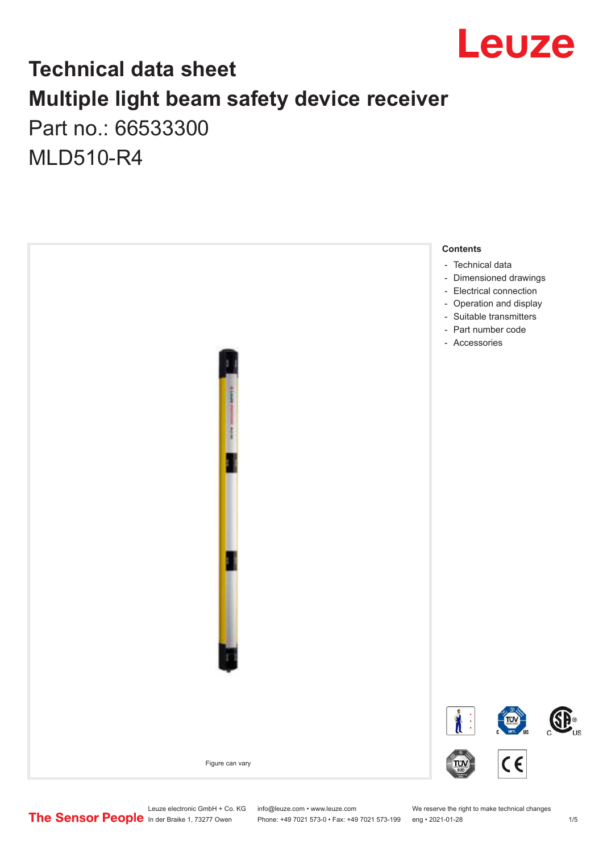

## **Technical data sheet Multiple light beam safety device receiver** Part no.: 66533300

MLD510-R4



Leuze electronic GmbH + Co. KG info@leuze.com • www.leuze.com We reserve the right to make technical changes<br>
The Sensor People in der Braike 1, 73277 Owen Phone: +49 7021 573-0 • Fax: +49 7021 573-199 eng • 2021-01-28

Phone: +49 7021 573-0 • Fax: +49 7021 573-199 eng • 2021-01-28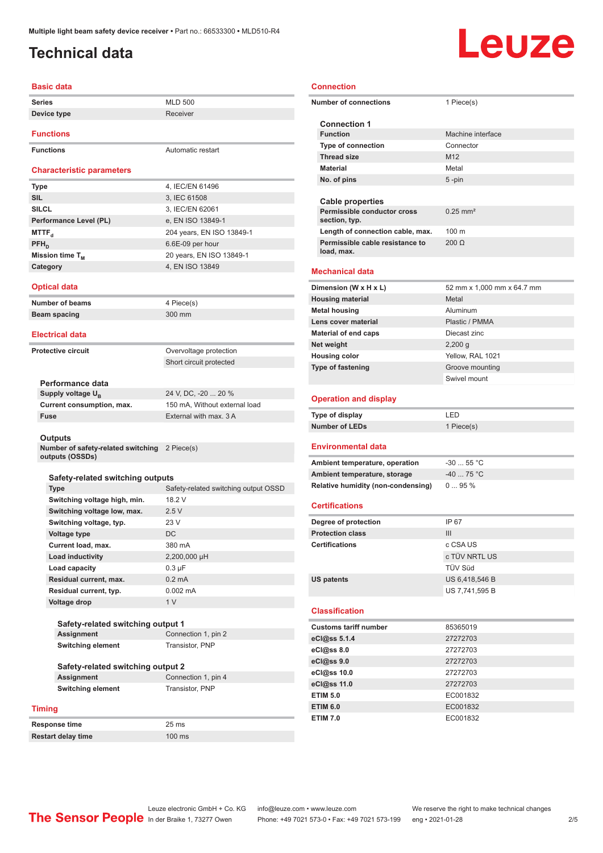## <span id="page-1-0"></span>**Technical data**

#### **Basic data**

| <b>Series</b>                    | <b>MLD 500</b>    |  |  |
|----------------------------------|-------------------|--|--|
| Device type                      | Receiver          |  |  |
| <b>Functions</b>                 |                   |  |  |
| <b>Functions</b>                 | Automatic restart |  |  |
| <b>Characteristic parameters</b> |                   |  |  |
| <b>Type</b>                      | 4, IEC/EN 61496   |  |  |
| <b>SIL</b>                       | 3, IEC 61508      |  |  |
| SIL CI                           | $3$ IFC/FN 62061  |  |  |

| <b>SILCL</b>           | 3, IEC/EN 62061           |
|------------------------|---------------------------|
| Performance Level (PL) | e, EN ISO 13849-1         |
| MTTF <sub>a</sub>      | 204 years, EN ISO 13849-1 |
| $PFH_n$                | 6.6E-09 per hour          |
| Mission time $T_{M}$   | 20 years, EN ISO 13849-1  |
| Category               | 4, EN ISO 13849           |
|                        |                           |

#### **Optical data**

| <b>Number of beams</b> |  |
|------------------------|--|
| Beam spacing           |  |

#### **Electrical data**

**Protective circuit COVER COVER COVER COVER COVER COVER COVER COVER COVER COVER COVER COVER COVER COVER COVER** 

Short circuit protected

**4 Piece(s) Beam spacing** 300 mm

#### **Performance data**

**Supply voltage U<sub>B</sub>** 

24 V, DC, -20 ... 20 % **Current consumption, max.** 150 mA, Without external load **Fuse** External with max. 3 A

#### **Outputs**

**Number of safety-related switching**  2 Piece(s) **outputs (OSSDs)**

#### **Safety-related switching outputs**

| <b>Type</b>                  | Safety-related switching output OSSD |
|------------------------------|--------------------------------------|
| Switching voltage high, min. | 18.2 V                               |
| Switching voltage low, max.  | 2.5V                                 |
| Switching voltage, typ.      | 23 V                                 |
| Voltage type                 | DC.                                  |
| Current load, max.           | 380 mA                               |
| <b>Load inductivity</b>      | 2,200,000 µH                         |
| Load capacity                | $0.3 \mu F$                          |
| Residual current, max.       | $0.2 \text{ mA}$                     |
| Residual current, typ.       | $0.002 \, \text{mA}$                 |
| Voltage drop                 | 1 <sub>V</sub>                       |

#### **Safety-related switching output 1 Assignment** Connection 1, pin 2 **Switching element** Transistor, PNP

#### **Safety-related switching output 2 Assignment** Connection 1, pin 4

**Switching element** Transistor, PNP

#### **Timing**

**Response time** 25 ms

**Restart delay time** 100 ms

| <b>Connection</b>                                                       |                            |
|-------------------------------------------------------------------------|----------------------------|
| <b>Number of connections</b>                                            | 1 Piece(s)                 |
| <b>Connection 1</b>                                                     |                            |
| <b>Function</b>                                                         | Machine interface          |
| <b>Type of connection</b>                                               | Connector                  |
| <b>Thread size</b>                                                      | M <sub>12</sub>            |
| <b>Material</b>                                                         | Metal                      |
| No. of pins                                                             | $5 - pin$                  |
|                                                                         |                            |
| <b>Cable properties</b><br>Permissible conductor cross<br>section, typ. | $0.25$ mm <sup>2</sup>     |
| Length of connection cable, max.                                        | 100 <sub>m</sub>           |
| Permissible cable resistance to<br>load, max.                           | $200 \Omega$               |
| Mechanical data                                                         |                            |
| Dimension (W x H x L)                                                   | 52 mm x 1,000 mm x 64.7 mm |
| <b>Housing material</b>                                                 | Metal                      |
| <b>Metal housing</b>                                                    | Aluminum                   |
| Lens cover material                                                     | Plastic / PMMA             |
| Material of end caps                                                    | Diecast zinc               |
| Net weight                                                              | $2,200$ g                  |
| <b>Housing color</b>                                                    | Yellow, RAL 1021           |
| <b>Type of fastening</b>                                                | Groove mounting            |
|                                                                         | Swivel mount               |
|                                                                         |                            |
| <b>Operation and display</b>                                            |                            |
| <b>Type of display</b>                                                  | LED                        |
| <b>Number of LEDs</b>                                                   | 1 Piece(s)                 |
| Environmental data                                                      |                            |
| Ambient temperature, operation                                          | $-30$ 55 °C                |
| Ambient temperature, storage                                            | $-4075 °C$                 |
| <b>Relative humidity (non-condensing)</b>                               | 095%                       |
| <b>Certifications</b>                                                   |                            |
| Degree of protection                                                    | IP 67                      |
| <b>Protection class</b>                                                 | Ш                          |
| <b>Certifications</b>                                                   | c CSA US                   |
|                                                                         | c TÜV NRTL US              |
|                                                                         | TÜV Süd                    |
| <b>US patents</b>                                                       | US 6,418,546 B             |
|                                                                         | US 7,741,595 B             |
| <b>Classification</b>                                                   |                            |
| <b>Customs tariff number</b>                                            | 85365019                   |
| eCl@ss 5.1.4                                                            | 27272703                   |
| eCl@ss 8.0                                                              | 27272703                   |
| eCl@ss 9.0                                                              | 27272703                   |
| eCl@ss 10.0                                                             | 27272703                   |
| eCl@ss 11.0                                                             | 27272703                   |
| <b>ETIM 5.0</b>                                                         | EC001832                   |
| <b>ETIM 6.0</b>                                                         | EC001832                   |
| <b>ETIM 7.0</b>                                                         | EC001832                   |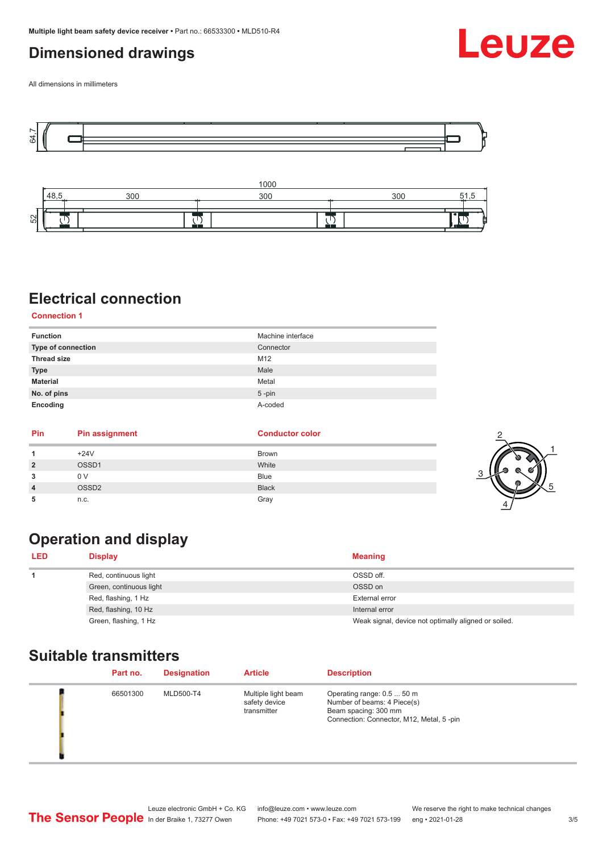## <span id="page-2-0"></span>**Dimensioned drawings**

Leuze

All dimensions in millimeters





## **Electrical connection**

**Connection 1**

| <b>Function</b>    | Machine interface |
|--------------------|-------------------|
| Type of connection | Connector         |
| <b>Thread size</b> | M12               |
| <b>Type</b>        | Male              |
| <b>Material</b>    | Metal             |
| No. of pins        | $5$ -pin          |
| Encoding           | A-coded           |

| Pin            | <b>Pin assignment</b> | <b>Conductor color</b> |  |
|----------------|-----------------------|------------------------|--|
|                | $+24V$                | <b>Brown</b>           |  |
| $\overline{2}$ | OSSD1                 | White                  |  |
| 3              | 0 <sub>V</sub>        | <b>Blue</b>            |  |
| $\overline{4}$ | OSSD <sub>2</sub>     | <b>Black</b>           |  |
| 5              | n.c.                  | Gray                   |  |

## **Operation and display**

| <b>LED</b> | <b>Display</b>          | <b>Meaning</b>                                       |
|------------|-------------------------|------------------------------------------------------|
|            | Red, continuous light   | OSSD off.                                            |
|            | Green, continuous light | OSSD on                                              |
|            | Red, flashing, 1 Hz     | External error                                       |
|            | Red, flashing, 10 Hz    | Internal error                                       |
|            | Green, flashing, 1 Hz   | Weak signal, device not optimally aligned or soiled. |

#### **Suitable transmitters**

| Part no. | <b>Designation</b> | <b>Article</b>                                      | <b>Description</b>                                                                                                            |
|----------|--------------------|-----------------------------------------------------|-------------------------------------------------------------------------------------------------------------------------------|
| 66501300 | MLD500-T4          | Multiple light beam<br>safety device<br>transmitter | Operating range: 0.5  50 m<br>Number of beams: 4 Piece(s)<br>Beam spacing: 300 mm<br>Connection: Connector, M12, Metal, 5-pin |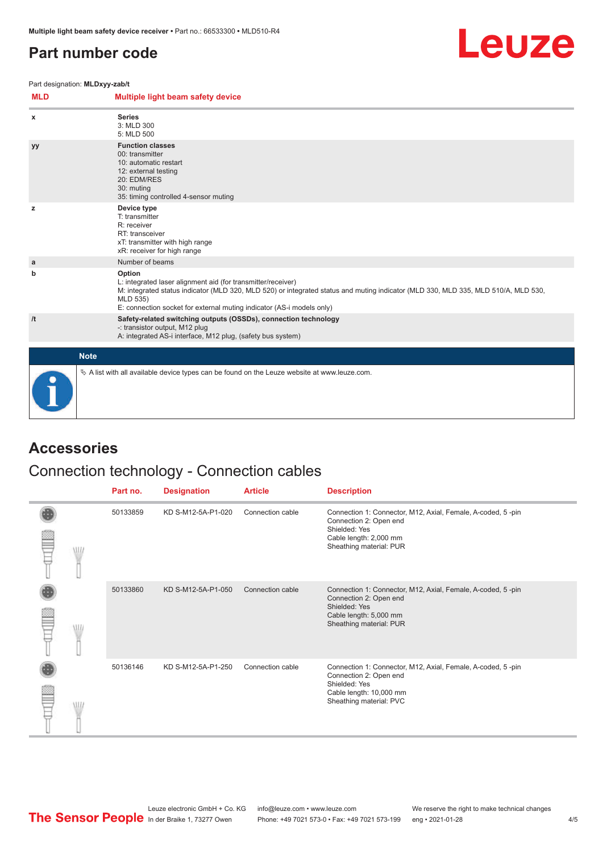## <span id="page-3-0"></span>**Part number code**



Part designation: **MLDxyy-zab/t**

| <b>MLD</b> | Multiple light beam safety device                                                                                                                                                                                                                                                                 |
|------------|---------------------------------------------------------------------------------------------------------------------------------------------------------------------------------------------------------------------------------------------------------------------------------------------------|
| x          | <b>Series</b><br>3: MLD 300<br>5: MLD 500                                                                                                                                                                                                                                                         |
| yy         | <b>Function classes</b><br>00: transmitter<br>10: automatic restart<br>12: external testing<br>20: EDM/RES<br>30: muting<br>35: timing controlled 4-sensor muting                                                                                                                                 |
| z          | Device type<br>T: transmitter<br>R: receiver<br>RT: transceiver<br>xT: transmitter with high range<br>xR: receiver for high range                                                                                                                                                                 |
| a          | Number of beams                                                                                                                                                                                                                                                                                   |
| b          | Option<br>L: integrated laser alignment aid (for transmitter/receiver)<br>M: integrated status indicator (MLD 320, MLD 520) or integrated status and muting indicator (MLD 330, MLD 335, MLD 510/A, MLD 530,<br>MLD 535)<br>E: connection socket for external muting indicator (AS-i models only) |
| /t         | Safety-related switching outputs (OSSDs), connection technology<br>-: transistor output, M12 plug<br>A: integrated AS-i interface, M12 plug, (safety bus system)                                                                                                                                  |
|            | <b>Note</b>                                                                                                                                                                                                                                                                                       |
|            | $\&$ A list with all available device types can be found on the Leuze website at www.leuze.com.                                                                                                                                                                                                   |

## **Accessories**

## Connection technology - Connection cables

|   | Part no. | <b>Designation</b> | <b>Article</b>   | <b>Description</b>                                                                                                                                           |
|---|----------|--------------------|------------------|--------------------------------------------------------------------------------------------------------------------------------------------------------------|
| W | 50133859 | KD S-M12-5A-P1-020 | Connection cable | Connection 1: Connector, M12, Axial, Female, A-coded, 5-pin<br>Connection 2: Open end<br>Shielded: Yes<br>Cable length: 2,000 mm<br>Sheathing material: PUR  |
|   | 50133860 | KD S-M12-5A-P1-050 | Connection cable | Connection 1: Connector, M12, Axial, Female, A-coded, 5-pin<br>Connection 2: Open end<br>Shielded: Yes<br>Cable length: 5,000 mm<br>Sheathing material: PUR  |
|   | 50136146 | KD S-M12-5A-P1-250 | Connection cable | Connection 1: Connector, M12, Axial, Female, A-coded, 5-pin<br>Connection 2: Open end<br>Shielded: Yes<br>Cable length: 10,000 mm<br>Sheathing material: PVC |